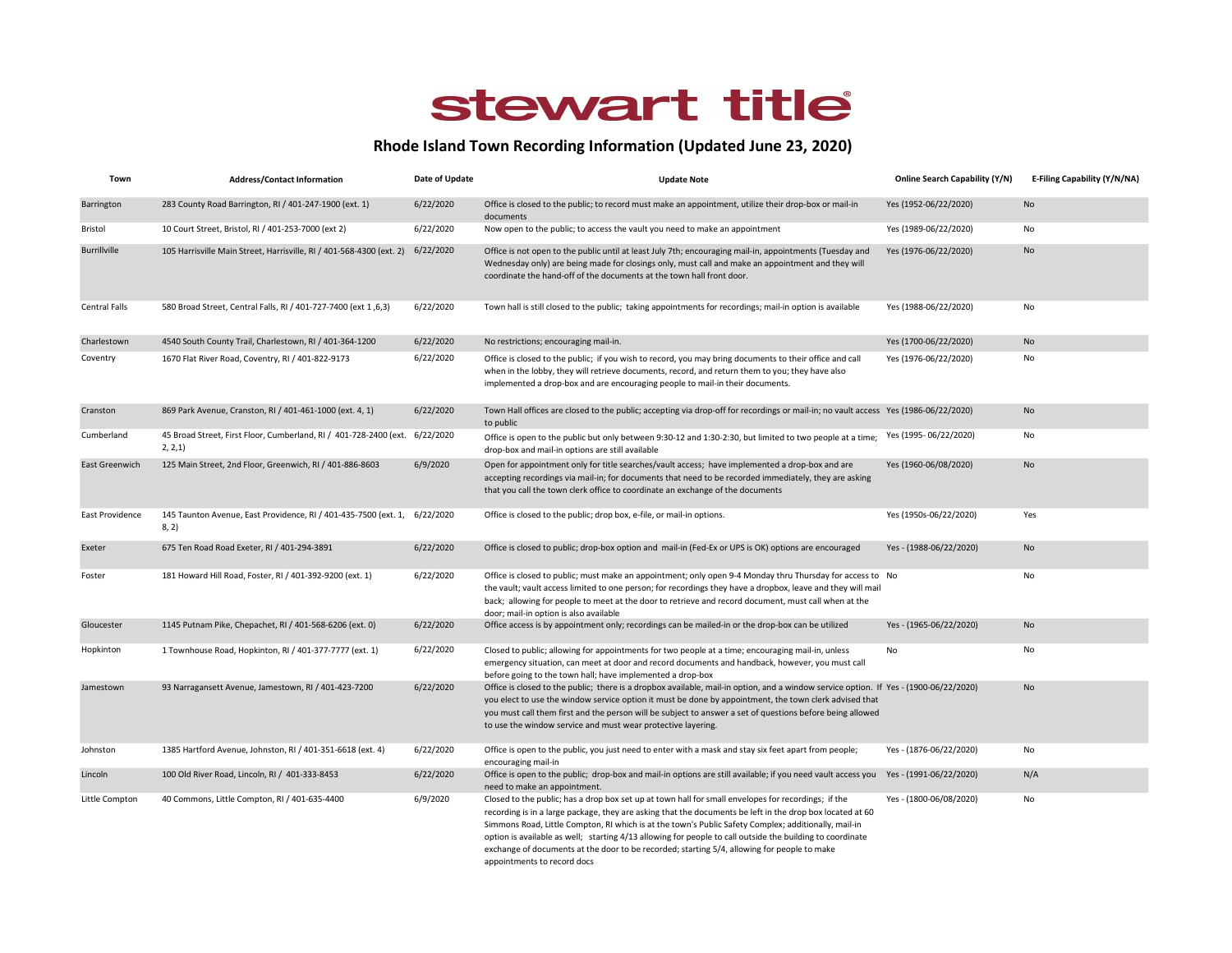## stewart title

## Rhode Island Town Recording Information (Updated June 23, 2020)

| Town                | <b>Address/Contact Information</b>                                                      | Date of Update | <b>Update Note</b>                                                                                                                                                                                                                                                                                                                                                                                                                                                                                                                                                  | <b>Online Search Capability (Y/N)</b> | E-Filing Capability (Y/N/NA) |
|---------------------|-----------------------------------------------------------------------------------------|----------------|---------------------------------------------------------------------------------------------------------------------------------------------------------------------------------------------------------------------------------------------------------------------------------------------------------------------------------------------------------------------------------------------------------------------------------------------------------------------------------------------------------------------------------------------------------------------|---------------------------------------|------------------------------|
| Barrington          | 283 County Road Barrington, RI / 401-247-1900 (ext. 1)                                  | 6/22/2020      | Office is closed to the public; to record must make an appointment, utilize their drop-box or mail-in<br>documents                                                                                                                                                                                                                                                                                                                                                                                                                                                  | Yes (1952-06/22/2020)                 | No                           |
| Bristol             | 10 Court Street, Bristol, RI / 401-253-7000 (ext 2)                                     | 6/22/2020      | Now open to the public; to access the vault you need to make an appointment                                                                                                                                                                                                                                                                                                                                                                                                                                                                                         | Yes (1989-06/22/2020)                 | No                           |
| <b>Burrillville</b> | 105 Harrisville Main Street, Harrisville, RI / 401-568-4300 (ext. 2) 6/22/2020          |                | Office is not open to the public until at least July 7th; encouraging mail-in, appointments (Tuesday and<br>Wednesday only) are being made for closings only, must call and make an appointment and they will<br>coordinate the hand-off of the documents at the town hall front door.                                                                                                                                                                                                                                                                              | Yes (1976-06/22/2020)                 | No                           |
| Central Falls       | 580 Broad Street, Central Falls, RI / 401-727-7400 (ext 1,6,3)                          | 6/22/2020      | Town hall is still closed to the public; taking appointments for recordings; mail-in option is available                                                                                                                                                                                                                                                                                                                                                                                                                                                            | Yes (1988-06/22/2020)                 | No                           |
| Charlestown         | 4540 South County Trail, Charlestown, RI / 401-364-1200                                 | 6/22/2020      | No restrictions; encouraging mail-in.                                                                                                                                                                                                                                                                                                                                                                                                                                                                                                                               | Yes (1700-06/22/2020)                 | No                           |
| Coventry            | 1670 Flat River Road, Coventry, RI / 401-822-9173                                       | 6/22/2020      | Office is closed to the public; if you wish to record, you may bring documents to their office and call<br>when in the lobby, they will retrieve documents, record, and return them to you; they have also<br>implemented a drop-box and are encouraging people to mail-in their documents.                                                                                                                                                                                                                                                                         | Yes (1976-06/22/2020)                 | No                           |
| Cranston            | 869 Park Avenue, Cranston, RI / 401-461-1000 (ext. 4, 1)                                | 6/22/2020      | Town Hall offices are closed to the public; accepting via drop-off for recordings or mail-in; no vault access Yes (1986-06/22/2020)<br>to public                                                                                                                                                                                                                                                                                                                                                                                                                    |                                       | No                           |
| Cumberland          | 45 Broad Street, First Floor, Cumberland, RI / 401-728-2400 (ext. 6/22/2020<br>2, 2, 1) |                | Office is open to the public but only between 9:30-12 and 1:30-2:30, but limited to two people at a time;<br>drop-box and mail-in options are still available                                                                                                                                                                                                                                                                                                                                                                                                       | Yes (1995-06/22/2020)                 | No                           |
| East Greenwich      | 125 Main Street, 2nd Floor, Greenwich, RI / 401-886-8603                                | 6/9/2020       | Open for appointment only for title searches/vault access; have implemented a drop-box and are<br>accepting recordings via mail-in; for documents that need to be recorded immediately, they are asking<br>that you call the town clerk office to coordinate an exchange of the documents                                                                                                                                                                                                                                                                           | Yes (1960-06/08/2020)                 | No                           |
| East Providence     | 145 Taunton Avenue, East Providence, RI / 401-435-7500 (ext. 1, 6/22/2020<br>8, 2)      |                | Office is closed to the public; drop box, e-file, or mail-in options.                                                                                                                                                                                                                                                                                                                                                                                                                                                                                               | Yes (1950s-06/22/2020)                | Yes                          |
| Exeter              | 675 Ten Road Road Exeter, RI / 401-294-3891                                             | 6/22/2020      | Office is closed to public; drop-box option and mail-in (Fed-Ex or UPS is OK) options are encouraged                                                                                                                                                                                                                                                                                                                                                                                                                                                                | Yes - (1988-06/22/2020)               | No                           |
| Foster              | 181 Howard Hill Road, Foster, RI / 401-392-9200 (ext. 1)                                | 6/22/2020      | Office is closed to public; must make an appointment; only open 9-4 Monday thru Thursday for access to No<br>the vault; vault access limited to one person; for recordings they have a dropbox, leave and they will mail<br>back; allowing for people to meet at the door to retrieve and record document, must call when at the<br>door; mail-in option is also available                                                                                                                                                                                          |                                       | No                           |
| Gloucester          | 1145 Putnam Pike, Chepachet, RI / 401-568-6206 (ext. 0)                                 | 6/22/2020      | Office access is by appointment only; recordings can be mailed-in or the drop-box can be utilized                                                                                                                                                                                                                                                                                                                                                                                                                                                                   | Yes - (1965-06/22/2020)               | No                           |
| Hopkinton           | 1 Townhouse Road, Hopkinton, RI / 401-377-7777 (ext. 1)                                 | 6/22/2020      | Closed to public; allowing for appointments for two people at a time; encouraging mail-in, unless<br>emergency situation, can meet at door and record documents and handback, however, you must call<br>before going to the town hall; have implemented a drop-box                                                                                                                                                                                                                                                                                                  | No                                    | No                           |
| Jamestown           | 93 Narragansett Avenue, Jamestown, RI / 401-423-7200                                    | 6/22/2020      | Office is closed to the public; there is a dropbox available, mail-in option, and a window service option. If Yes - (1900-06/22/2020)<br>you elect to use the window service option it must be done by appointment, the town clerk advised that<br>you must call them first and the person will be subject to answer a set of questions before being allowed<br>to use the window service and must wear protective layering.                                                                                                                                        |                                       | No                           |
| Johnston            | 1385 Hartford Avenue, Johnston, RI / 401-351-6618 (ext. 4)                              | 6/22/2020      | Office is open to the public, you just need to enter with a mask and stay six feet apart from people;<br>encouraging mail-in                                                                                                                                                                                                                                                                                                                                                                                                                                        | Yes - (1876-06/22/2020)               | No                           |
| Lincoln             | 100 Old River Road, Lincoln, RI / 401-333-8453                                          | 6/22/2020      | Office is open to the public; drop-box and mail-in options are still available; if you need vault access you Yes - (1991-06/22/2020)<br>need to make an appointment.                                                                                                                                                                                                                                                                                                                                                                                                |                                       | N/A                          |
| Little Compton      | 40 Commons, Little Compton, RI / 401-635-4400                                           | 6/9/2020       | Closed to the public; has a drop box set up at town hall for small envelopes for recordings; if the<br>recording is in a large package, they are asking that the documents be left in the drop box located at 60<br>Simmons Road, Little Compton, RI which is at the town's Public Safety Complex; additionally, mail-in<br>option is available as well; starting 4/13 allowing for people to call outside the building to coordinate<br>exchange of documents at the door to be recorded; starting 5/4, allowing for people to make<br>appointments to record docs | Yes - (1800-06/08/2020)               | No                           |